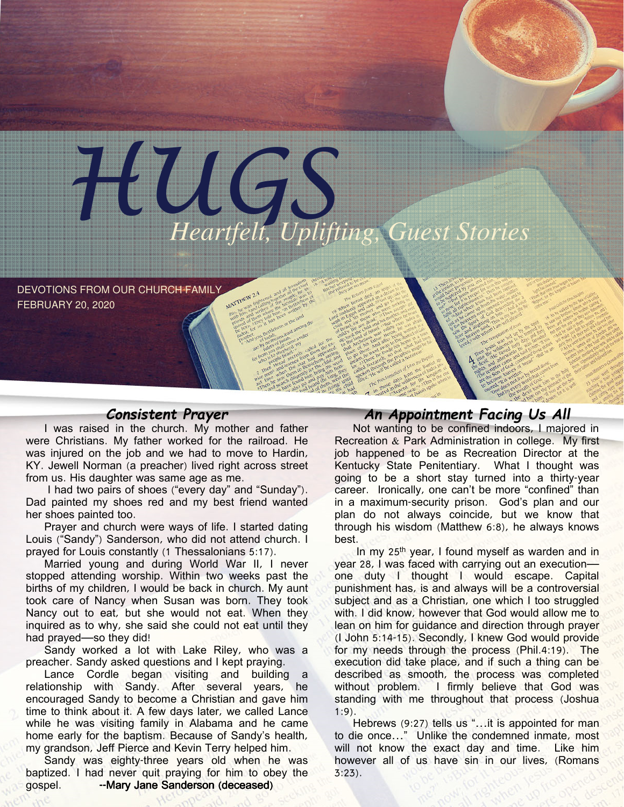

DEVOTIONS FROM OUR CHURCH FAMILY FEBRUARY 20, 2020

## Consistent Prayer

I was raised in the church. My mother and father were Christians. My father worked for the railroad. He was injured on the job and we had to move to Hardin, KY. Jewell Norman (a preacher) lived right across street from us. His daughter was same age as me.

I had two pairs of shoes ("every day" and "Sunday"). Dad painted my shoes red and my best friend wanted her shoes painted too.

Prayer and church were ways of life. I started dating Louis ("Sandy") Sanderson, who did not attend church. I prayed for Louis constantly (1 Thessalonians 5:17).

Married young and during World War II, I never stopped attending worship. Within two weeks past the births of my children, I would be back in church. My aunt took care of Nancy when Susan was born. They took Nancy out to eat, but she would not eat. When they inquired as to why, she said she could not eat until they had prayed—so they did!

Sandy worked a lot with Lake Riley, who was a preacher. Sandy asked questions and I kept praying.

Lance Cordle began visiting and building a relationship with Sandy. After several years, he encouraged Sandy to become a Christian and gave him time to think about it. A few days later, we called Lance while he was visiting family in Alabama and he came home early for the baptism. Because of Sandy's health, my grandson, Jeff Pierce and Kevin Terry helped him.

Sandy was eighty-three years old when he was baptized. I had never quit praying for him to obey the gospel. -- Mary Jane Sanderson (deceased)

# An Appointment Facing Us All

Not wanting to be confined indoors, I majored in Recreation & Park Administration in college. My first job happened to be as Recreation Director at the Kentucky State Penitentiary. What I thought was going to be a short stay turned into a thirty-year career. Ironically, one can't be more "confined" than in a maximum-security prison. God's plan and our plan do not always coincide, but we know that through his wisdom (Matthew 6:8), he always knows best.

In my 25<sup>th</sup> year, I found myself as warden and in year 28, I was faced with carrying out an execution one duty I thought I would escape. Capital punishment has, is and always will be a controversial subject and as a Christian, one which I too struggled with. I did know, however that God would allow me to lean on him for guidance and direction through prayer (I John 5:14-15). Secondly, I knew God would provide for my needs through the process (Phil.4:19). The execution did take place, and if such a thing can be described as smooth, the process was completed without problem. I firmly believe that God was standing with me throughout that process (Joshua 1:9).

Hebrews (9:27) tells us "... it is appointed for man to die once…" Unlike the condemned inmate, most will not know the exact day and time. Like him however all of us have sin in our lives, (Romans  $3:23$ .